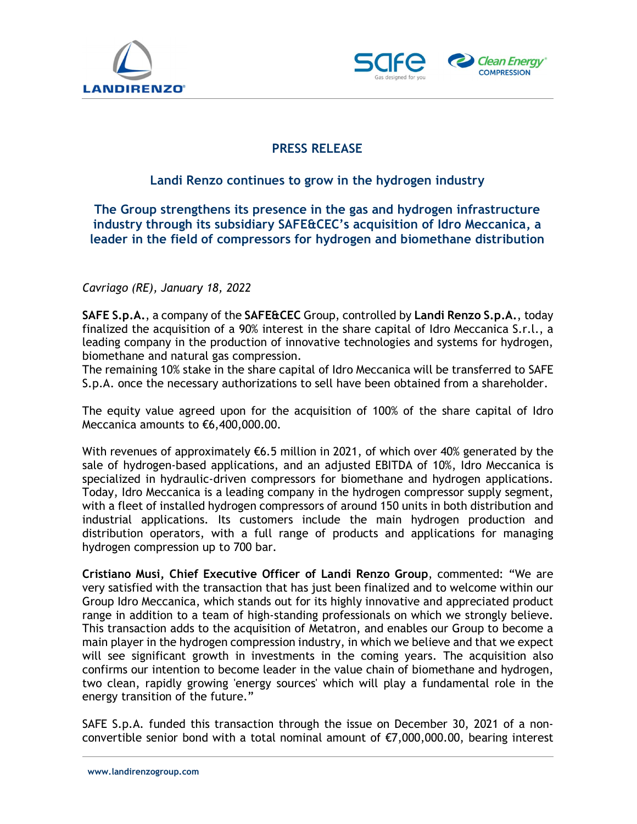



## PRESS RELEASE

## Landi Renzo continues to grow in the hydrogen industry

The Group strengthens its presence in the gas and hydrogen infrastructure industry through its subsidiary SAFE&CEC's acquisition of Idro Meccanica, a leader in the field of compressors for hydrogen and biomethane distribution

## Cavriago (RE), January 18, 2022

SAFE S.p.A., a company of the SAFE&CEC Group, controlled by Landi Renzo S.p.A., today finalized the acquisition of a 90% interest in the share capital of Idro Meccanica S.r.l., a leading company in the production of innovative technologies and systems for hydrogen, biomethane and natural gas compression.

The remaining 10% stake in the share capital of Idro Meccanica will be transferred to SAFE S.p.A. once the necessary authorizations to sell have been obtained from a shareholder.

The equity value agreed upon for the acquisition of 100% of the share capital of Idro Meccanica amounts to €6,400,000.00.

With revenues of approximately €6.5 million in 2021, of which over 40% generated by the sale of hydrogen-based applications, and an adjusted EBITDA of 10%, Idro Meccanica is specialized in hydraulic-driven compressors for biomethane and hydrogen applications. Today, Idro Meccanica is a leading company in the hydrogen compressor supply segment, with a fleet of installed hydrogen compressors of around 150 units in both distribution and industrial applications. Its customers include the main hydrogen production and distribution operators, with a full range of products and applications for managing hydrogen compression up to 700 bar.

Cristiano Musi, Chief Executive Officer of Landi Renzo Group, commented: "We are very satisfied with the transaction that has just been finalized and to welcome within our Group Idro Meccanica, which stands out for its highly innovative and appreciated product range in addition to a team of high-standing professionals on which we strongly believe. This transaction adds to the acquisition of Metatron, and enables our Group to become a main player in the hydrogen compression industry, in which we believe and that we expect will see significant growth in investments in the coming years. The acquisition also confirms our intention to become leader in the value chain of biomethane and hydrogen, two clean, rapidly growing 'energy sources' which will play a fundamental role in the energy transition of the future."

SAFE S.p.A. funded this transaction through the issue on December 30, 2021 of a nonconvertible senior bond with a total nominal amount of €7,000,000.00, bearing interest